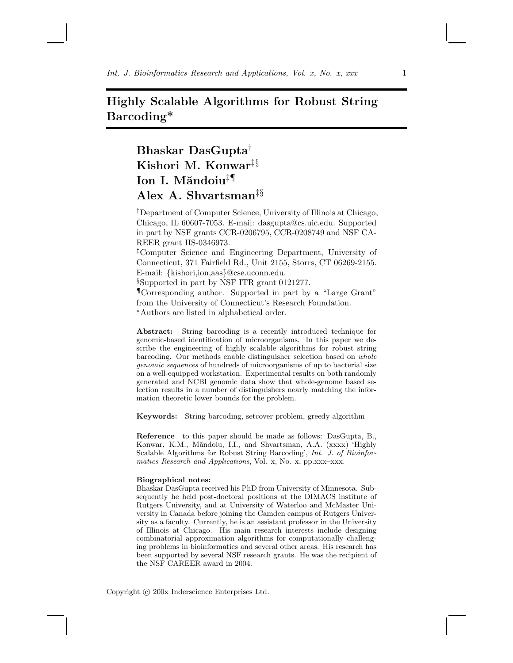# Highly Scalable Algorithms for Robust String Barcoding\*

# Bhaskar DasGupta† Kishori M. Konwar‡§ Ion I. Măndoiu<sup>ț¶</sup> Alex A. Shvartsman<sup>‡§</sup>

†Department of Computer Science, University of Illinois at Chicago, Chicago, IL 60607-7053. E-mail: dasgupta@cs.uic.edu. Supported in part by NSF grants CCR-0206795, CCR-0208749 and NSF CA-REER grant IIS-0346973.

‡Computer Science and Engineering Department, University of Connecticut, 371 Fairfield Rd., Unit 2155, Storrs, CT 06269-2155. E-mail: {kishori,ion,aas}@cse.uconn.edu.

§Supported in part by NSF ITR grant 0121277.

¶Corresponding author. Supported in part by a "Large Grant" from the University of Connecticut's Research Foundation.

<sup>∗</sup>Authors are listed in alphabetical order.

Abstract: String barcoding is a recently introduced technique for genomic-based identification of microorganisms. In this paper we describe the engineering of highly scalable algorithms for robust string barcoding. Our methods enable distinguisher selection based on whole genomic sequences of hundreds of microorganisms of up to bacterial size on a well-equipped workstation. Experimental results on both randomly generated and NCBI genomic data show that whole-genome based selection results in a number of distinguishers nearly matching the information theoretic lower bounds for the problem.

Keywords: String barcoding, setcover problem, greedy algorithm

Reference to this paper should be made as follows: DasGupta, B., Konwar, K.M., Măndoiu, I.I., and Shvartsman, A.A. (xxxx) 'Highly Scalable Algorithms for Robust String Barcoding', Int. J. of Bioinformatics Research and Applications, Vol. x, No. x, pp.xxx–xxx.

#### Biographical notes:

Bhaskar DasGupta received his PhD from University of Minnesota. Subsequently he held post-doctoral positions at the DIMACS institute of Rutgers University, and at University of Waterloo and McMaster University in Canada before joining the Camden campus of Rutgers University as a faculty. Currently, he is an assistant professor in the University of Illinois at Chicago. His main research interests include designing combinatorial approximation algorithms for computationally challenging problems in bioinformatics and several other areas. His research has been supported by several NSF research grants. He was the recipient of the NSF CAREER award in 2004.

Copyright  $\odot$  200x Inderscience Enterprises Ltd.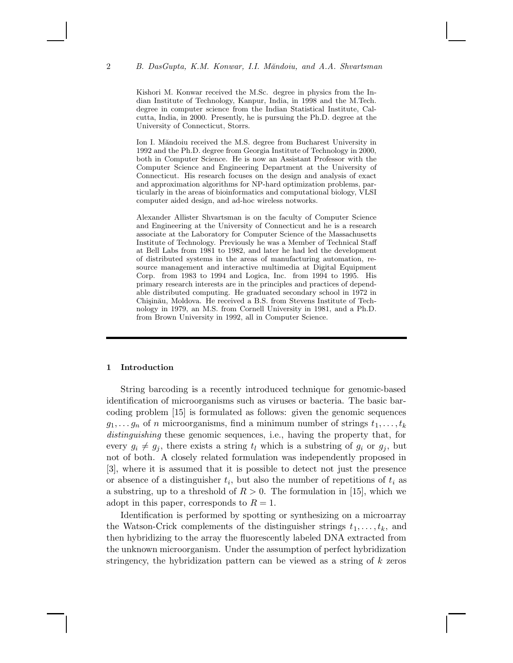Kishori M. Konwar received the M.Sc. degree in physics from the Indian Institute of Technology, Kanpur, India, in 1998 and the M.Tech. degree in computer science from the Indian Statistical Institute, Calcutta, India, in 2000. Presently, he is pursuing the Ph.D. degree at the University of Connecticut, Storrs.

Ion I. Măndoiu received the M.S. degree from Bucharest University in 1992 and the Ph.D. degree from Georgia Institute of Technology in 2000, both in Computer Science. He is now an Assistant Professor with the Computer Science and Engineering Department at the University of Connecticut. His research focuses on the design and analysis of exact and approximation algorithms for NP-hard optimization problems, particularly in the areas of bioinformatics and computational biology, VLSI computer aided design, and ad-hoc wireless notworks.

Alexander Allister Shvartsman is on the faculty of Computer Science and Engineering at the University of Connecticut and he is a research associate at the Laboratory for Computer Science of the Massachusetts Institute of Technology. Previously he was a Member of Technical Staff at Bell Labs from 1981 to 1982, and later he had led the development of distributed systems in the areas of manufacturing automation, resource management and interactive multimedia at Digital Equipment Corp. from 1983 to 1994 and Logica, Inc. from 1994 to 1995. His primary research interests are in the principles and practices of dependable distributed computing. He graduated secondary school in 1972 in Chișinău, Moldova. He received a B.S. from Stevens Institute of Technology in 1979, an M.S. from Cornell University in 1981, and a Ph.D. from Brown University in 1992, all in Computer Science.

## 1 Introduction

String barcoding is a recently introduced technique for genomic-based identification of microorganisms such as viruses or bacteria. The basic barcoding problem [15] is formulated as follows: given the genomic sequences  $g_1, \ldots, g_n$  of n microorganisms, find a minimum number of strings  $t_1, \ldots, t_k$ distinguishing these genomic sequences, i.e., having the property that, for every  $g_i \neq g_j$ , there exists a string  $t_l$  which is a substring of  $g_i$  or  $g_j$ , but not of both. A closely related formulation was independently proposed in [3], where it is assumed that it is possible to detect not just the presence or absence of a distinguisher  $t_i$ , but also the number of repetitions of  $t_i$  as a substring, up to a threshold of  $R > 0$ . The formulation in [15], which we adopt in this paper, corresponds to  $R = 1$ .

Identification is performed by spotting or synthesizing on a microarray the Watson-Crick complements of the distinguisher strings  $t_1, \ldots, t_k$ , and then hybridizing to the array the fluorescently labeled DNA extracted from the unknown microorganism. Under the assumption of perfect hybridization stringency, the hybridization pattern can be viewed as a string of k zeros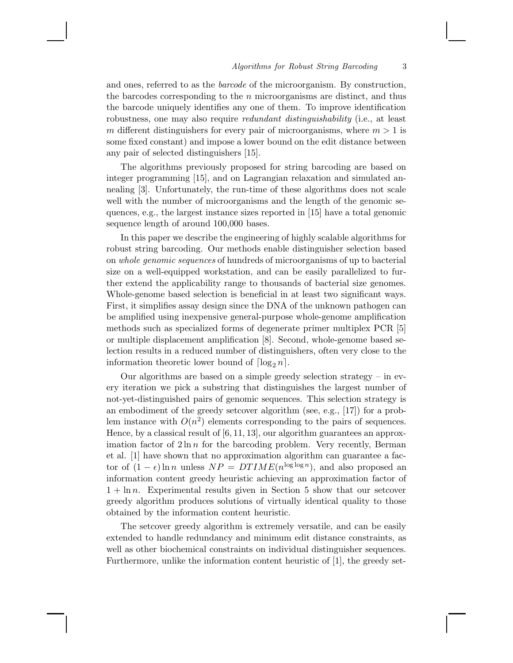and ones, referred to as the barcode of the microorganism. By construction, the barcodes corresponding to the  $n$  microorganisms are distinct, and thus the barcode uniquely identifies any one of them. To improve identification robustness, one may also require *redundant distinguishability* (i.e., at least m different distinguishers for every pair of microorganisms, where  $m > 1$  is some fixed constant) and impose a lower bound on the edit distance between any pair of selected distinguishers [15].

The algorithms previously proposed for string barcoding are based on integer programming [15], and on Lagrangian relaxation and simulated annealing [3]. Unfortunately, the run-time of these algorithms does not scale well with the number of microorganisms and the length of the genomic sequences, e.g., the largest instance sizes reported in [15] have a total genomic sequence length of around 100,000 bases.

In this paper we describe the engineering of highly scalable algorithms for robust string barcoding. Our methods enable distinguisher selection based on whole genomic sequences of hundreds of microorganisms of up to bacterial size on a well-equipped workstation, and can be easily parallelized to further extend the applicability range to thousands of bacterial size genomes. Whole-genome based selection is beneficial in at least two significant ways. First, it simplifies assay design since the DNA of the unknown pathogen can be amplified using inexpensive general-purpose whole-genome amplification methods such as specialized forms of degenerate primer multiplex PCR [5] or multiple displacement amplification [8]. Second, whole-genome based selection results in a reduced number of distinguishers, often very close to the information theoretic lower bound of  $\lceil \log_2 n \rceil$ .

Our algorithms are based on a simple greedy selection strategy – in every iteration we pick a substring that distinguishes the largest number of not-yet-distinguished pairs of genomic sequences. This selection strategy is an embodiment of the greedy setcover algorithm (see, e.g., [17]) for a problem instance with  $O(n^2)$  elements corresponding to the pairs of sequences. Hence, by a classical result of [6, 11, 13], our algorithm guarantees an approximation factor of  $2 \ln n$  for the barcoding problem. Very recently, Berman et al. [1] have shown that no approximation algorithm can guarantee a factor of  $(1 - \epsilon) \ln n$  unless  $NP = DTIME(n^{\log \log n})$ , and also proposed an information content greedy heuristic achieving an approximation factor of  $1 + \ln n$ . Experimental results given in Section 5 show that our setcover greedy algorithm produces solutions of virtually identical quality to those obtained by the information content heuristic.

The setcover greedy algorithm is extremely versatile, and can be easily extended to handle redundancy and minimum edit distance constraints, as well as other biochemical constraints on individual distinguisher sequences. Furthermore, unlike the information content heuristic of [1], the greedy set-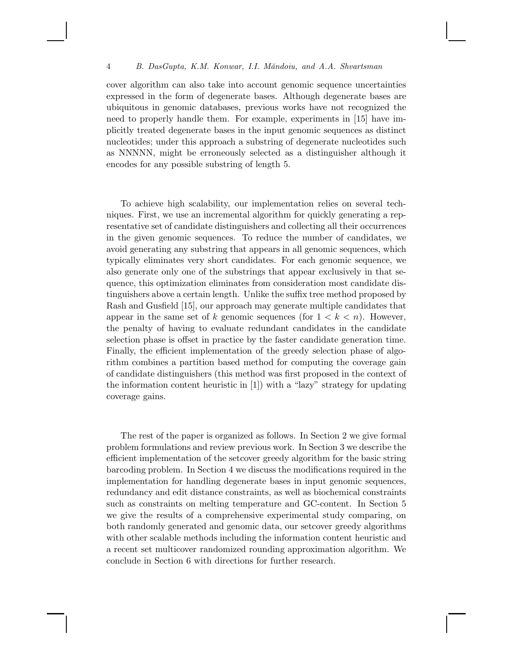## 4 B. DasGupta, K.M. Konwar, I.I. M˘andoiu, and A.A. Shvartsman

cover algorithm can also take into account genomic sequence uncertainties expressed in the form of degenerate bases. Although degenerate bases are ubiquitous in genomic databases, previous works have not recognized the need to properly handle them. For example, experiments in [15] have implicitly treated degenerate bases in the input genomic sequences as distinct nucleotides; under this approach a substring of degenerate nucleotides such as NNNNN, might be erroneously selected as a distinguisher although it encodes for any possible substring of length 5.

To achieve high scalability, our implementation relies on several techniques. First, we use an incremental algorithm for quickly generating a representative set of candidate distinguishers and collecting all their occurrences in the given genomic sequences. To reduce the number of candidates, we avoid generating any substring that appears in all genomic sequences, which typically eliminates very short candidates. For each genomic sequence, we also generate only one of the substrings that appear exclusively in that sequence, this optimization eliminates from consideration most candidate distinguishers above a certain length. Unlike the suffix tree method proposed by Rash and Gusfield [15], our approach may generate multiple candidates that appear in the same set of k genomic sequences (for  $1 < k < n$ ). However, the penalty of having to evaluate redundant candidates in the candidate selection phase is offset in practice by the faster candidate generation time. Finally, the efficient implementation of the greedy selection phase of algorithm combines a partition based method for computing the coverage gain of candidate distinguishers (this method was first proposed in the context of the information content heuristic in [1]) with a "lazy" strategy for updating coverage gains.

The rest of the paper is organized as follows. In Section 2 we give formal problem formulations and review previous work. In Section 3 we describe the efficient implementation of the setcover greedy algorithm for the basic string barcoding problem. In Section 4 we discuss the modifications required in the implementation for handling degenerate bases in input genomic sequences, redundancy and edit distance constraints, as well as biochemical constraints such as constraints on melting temperature and GC-content. In Section 5 we give the results of a comprehensive experimental study comparing, on both randomly generated and genomic data, our setcover greedy algorithms with other scalable methods including the information content heuristic and a recent set multicover randomized rounding approximation algorithm. We conclude in Section 6 with directions for further research.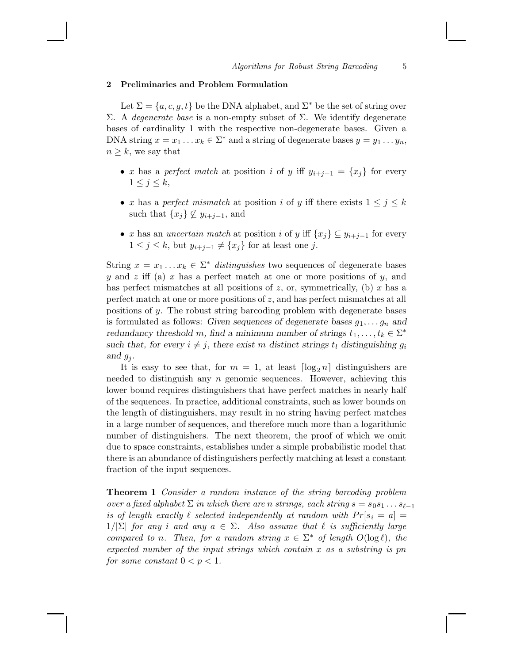## 2 Preliminaries and Problem Formulation

Let  $\Sigma = \{a, c, g, t\}$  be the DNA alphabet, and  $\Sigma^*$  be the set of string over Σ. A degenerate base is a non-empty subset of Σ. We identify degenerate bases of cardinality 1 with the respective non-degenerate bases. Given a DNA string  $x = x_1 \dots x_k \in \Sigma^*$  and a string of degenerate bases  $y = y_1 \dots y_n$ ,  $n \geq k$ , we say that

- x has a perfect match at position i of y iff  $y_{i+j-1} = \{x_i\}$  for every  $1 \leq j \leq k$ ,
- x has a perfect mismatch at position i of y iff there exists  $1 \leq j \leq k$ such that  $\{x_j\} \nsubseteq y_{i+j-1}$ , and
- x has an *uncertain match* at position i of y iff  $\{x_j\} \subseteq y_{i+j-1}$  for every  $1 \leq j \leq k$ , but  $y_{i+j-1} \neq \{x_j\}$  for at least one j.

String  $x = x_1 \dots x_k \in \Sigma^*$  distinguishes two sequences of degenerate bases y and z iff (a) x has a perfect match at one or more positions of y, and has perfect mismatches at all positions of z, or, symmetrically, (b) x has a perfect match at one or more positions of z, and has perfect mismatches at all positions of y. The robust string barcoding problem with degenerate bases is formulated as follows: Given sequences of degenerate bases  $g_1, \ldots, g_n$  and redundancy threshold m, find a minimum number of strings  $t_1, \ldots, t_k \in \Sigma^*$ such that, for every  $i \neq j$ , there exist m distinct strings  $t<sub>l</sub>$  distinguishing  $g<sub>i</sub>$ and  $g_i$ .

It is easy to see that, for  $m = 1$ , at least  $\lceil \log_2 n \rceil$  distinguishers are needed to distinguish any  $n$  genomic sequences. However, achieving this lower bound requires distinguishers that have perfect matches in nearly half of the sequences. In practice, additional constraints, such as lower bounds on the length of distinguishers, may result in no string having perfect matches in a large number of sequences, and therefore much more than a logarithmic number of distinguishers. The next theorem, the proof of which we omit due to space constraints, establishes under a simple probabilistic model that there is an abundance of distinguishers perfectly matching at least a constant fraction of the input sequences.

Theorem 1 Consider a random instance of the string barcoding problem over a fixed alphabet  $\Sigma$  in which there are n strings, each string  $s = s_0 s_1 \dots s_{\ell-1}$ is of length exactly  $\ell$  selected independently at random with  $Pr[s_i = a] =$  $1/|\Sigma|$  for any i and any  $a \in \Sigma$ . Also assume that  $\ell$  is sufficiently large compared to n. Then, for a random string  $x \in \Sigma^*$  of length  $O(\log \ell)$ , the expected number of the input strings which contain x as a substring is pn for some constant  $0 < p < 1$ .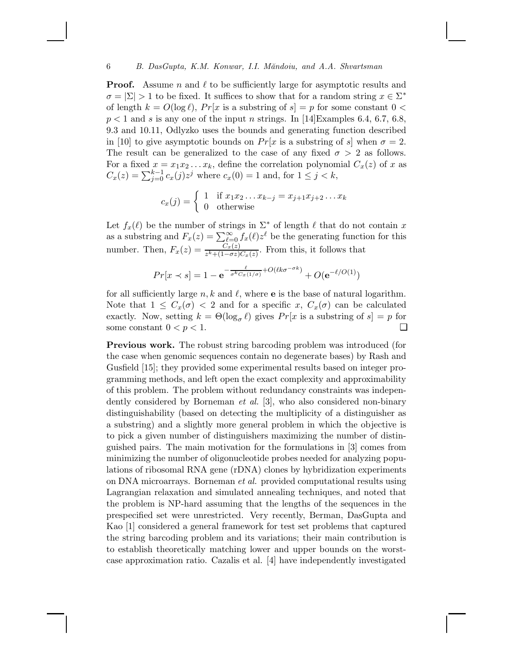## 6 B. DasGupta, K.M. Konwar, I.I. M˘andoiu, and A.A. Shvartsman

**Proof.** Assume n and  $\ell$  to be sufficiently large for asymptotic results and  $\sigma = |\Sigma| > 1$  to be fixed. It suffices to show that for a random string  $x \in \Sigma^*$ of length  $k = O(\log \ell)$ ,  $Pr[x]$  is a substring of  $s = p$  for some constant  $0 <$  $p < 1$  and s is any one of the input n strings. In [14] Examples 6.4, 6.7, 6.8, 9.3 and 10.11, Odlyzko uses the bounds and generating function described in [10] to give asymptotic bounds on  $Pr[x]$  is a substring of s] when  $\sigma = 2$ . The result can be generalized to the case of any fixed  $\sigma > 2$  as follows. For a fixed  $x = x_1x_2...x_k$ , define the correlation polynomial  $C_x(z)$  of x as  $C_x(z) = \sum_{j=0}^{k-1} c_x(j) z^j$  where  $c_x(0) = 1$  and, for  $1 \leq j \leq k$ ,

$$
c_x(j) = \begin{cases} 1 & \text{if } x_1 x_2 \dots x_{k-j} = x_{j+1} x_{j+2} \dots x_k \\ 0 & \text{otherwise} \end{cases}
$$

Let  $f_x(\ell)$  be the number of strings in  $\Sigma^*$  of length  $\ell$  that do not contain x as a substring and  $F_x(z) = \sum_{\ell=0}^{\infty} f_x(\ell) z^{\ell}$  be the generating function for this number. Then,  $F_x(z) = \frac{C_x(z)}{z^{k} + (1 - \sigma z)}$  $\frac{C_x(z)}{z^k + (1-\sigma z)C_x(z)}$ . From this, it follows that

$$
Pr[x \prec s] = 1 - e^{-\frac{\ell}{\sigma^k C_x(1/\sigma)} + O(\ell k \sigma^{-\sigma k})} + O(e^{-\ell/O(1)})
$$

for all sufficiently large  $n, k$  and  $\ell$ , where e is the base of natural logarithm. Note that  $1 \leq C_x(\sigma) < 2$  and for a specific x,  $C_x(\sigma)$  can be calculated exactly. Now, setting  $k = \Theta(\log_{\sigma} \ell)$  gives  $Pr[x \text{ is a substring of } s] = p$  for some constant  $0 < p < 1$ .

Previous work. The robust string barcoding problem was introduced (for the case when genomic sequences contain no degenerate bases) by Rash and Gusfield [15]; they provided some experimental results based on integer programming methods, and left open the exact complexity and approximability of this problem. The problem without redundancy constraints was independently considered by Borneman et al. [3], who also considered non-binary distinguishability (based on detecting the multiplicity of a distinguisher as a substring) and a slightly more general problem in which the objective is to pick a given number of distinguishers maximizing the number of distinguished pairs. The main motivation for the formulations in [3] comes from minimizing the number of oligonucleotide probes needed for analyzing populations of ribosomal RNA gene (rDNA) clones by hybridization experiments on DNA microarrays. Borneman et al. provided computational results using Lagrangian relaxation and simulated annealing techniques, and noted that the problem is NP-hard assuming that the lengths of the sequences in the prespecified set were unrestricted. Very recently, Berman, DasGupta and Kao [1] considered a general framework for test set problems that captured the string barcoding problem and its variations; their main contribution is to establish theoretically matching lower and upper bounds on the worstcase approximation ratio. Cazalis et al. [4] have independently investigated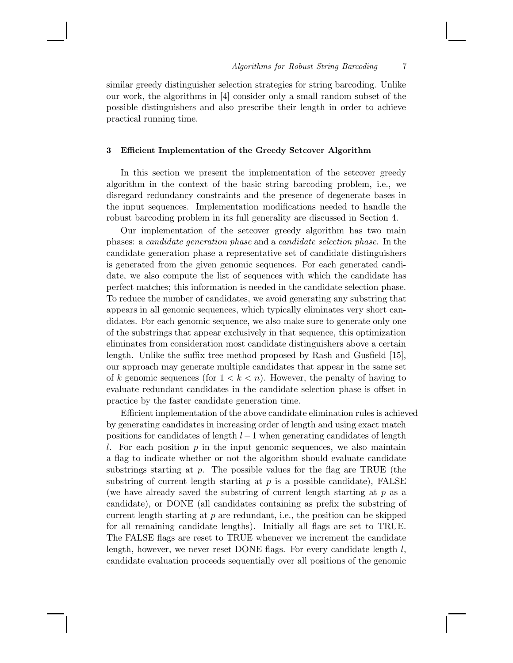similar greedy distinguisher selection strategies for string barcoding. Unlike our work, the algorithms in [4] consider only a small random subset of the possible distinguishers and also prescribe their length in order to achieve practical running time.

#### 3 Efficient Implementation of the Greedy Setcover Algorithm

In this section we present the implementation of the setcover greedy algorithm in the context of the basic string barcoding problem, i.e., we disregard redundancy constraints and the presence of degenerate bases in the input sequences. Implementation modifications needed to handle the robust barcoding problem in its full generality are discussed in Section 4.

Our implementation of the setcover greedy algorithm has two main phases: a candidate generation phase and a candidate selection phase. In the candidate generation phase a representative set of candidate distinguishers is generated from the given genomic sequences. For each generated candidate, we also compute the list of sequences with which the candidate has perfect matches; this information is needed in the candidate selection phase. To reduce the number of candidates, we avoid generating any substring that appears in all genomic sequences, which typically eliminates very short candidates. For each genomic sequence, we also make sure to generate only one of the substrings that appear exclusively in that sequence, this optimization eliminates from consideration most candidate distinguishers above a certain length. Unlike the suffix tree method proposed by Rash and Gusfield [15], our approach may generate multiple candidates that appear in the same set of k genomic sequences (for  $1 < k < n$ ). However, the penalty of having to evaluate redundant candidates in the candidate selection phase is offset in practice by the faster candidate generation time.

Efficient implementation of the above candidate elimination rules is achieved by generating candidates in increasing order of length and using exact match positions for candidates of length  $l-1$  when generating candidates of length l. For each position  $p$  in the input genomic sequences, we also maintain a flag to indicate whether or not the algorithm should evaluate candidate substrings starting at p. The possible values for the flag are TRUE (the substring of current length starting at  $p$  is a possible candidate), FALSE (we have already saved the substring of current length starting at  $p$  as a candidate), or DONE (all candidates containing as prefix the substring of current length starting at  $p$  are redundant, i.e., the position can be skipped for all remaining candidate lengths). Initially all flags are set to TRUE. The FALSE flags are reset to TRUE whenever we increment the candidate length, however, we never reset DONE flags. For every candidate length  $l$ , candidate evaluation proceeds sequentially over all positions of the genomic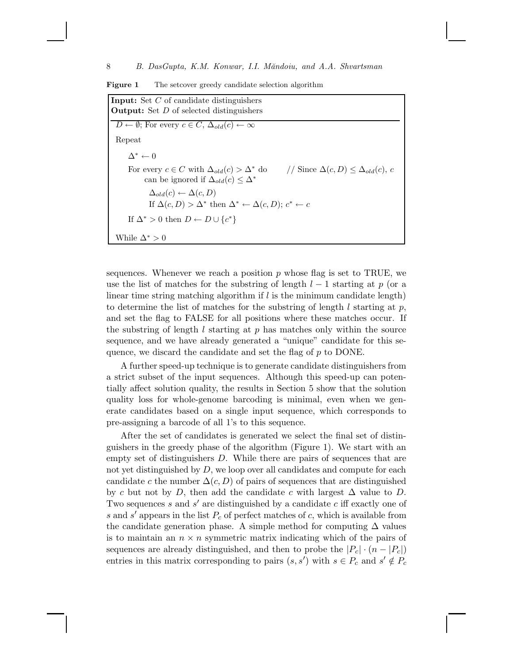#### 8 B. DasGupta, K.M. Konwar, I.I. Măndoiu, and A.A. Shvartsman

| Figure 1 | The set cover greedy candidate selection algorithm |  |  |  |  |
|----------|----------------------------------------------------|--|--|--|--|
|----------|----------------------------------------------------|--|--|--|--|

**Input:** Set  $C$  of candidate distinguishers **Output:** Set  $D$  of selected distinguishers  $D \leftarrow \emptyset$ ; For every  $c \in C$ ,  $\Delta_{old}(c) \leftarrow \infty$ Repeat  $\Delta^* ← 0$ For every  $c \in C$  with  $\Delta_{old}(c) > \Delta^*$  do // Since  $\Delta(c, D) \leq \Delta_{old}(c), c$ can be ignored if  $\Delta_{old}(c) \leq \Delta^*$  $\Delta_{old}(c) \leftarrow \Delta(c, D)$ If  $\Delta(c, D) > \Delta^*$  then  $\Delta^* \leftarrow \Delta(c, D)$ ;  $c^* \leftarrow c$ If  $\Delta^* > 0$  then  $D \leftarrow D \cup \{c^*\}$ While  $\Delta^* > 0$ 

sequences. Whenever we reach a position  $p$  whose flag is set to TRUE, we use the list of matches for the substring of length  $l-1$  starting at p (or a linear time string matching algorithm if  $l$  is the minimum candidate length) to determine the list of matches for the substring of length  $l$  starting at  $p$ , and set the flag to FALSE for all positions where these matches occur. If the substring of length  $l$  starting at  $p$  has matches only within the source sequence, and we have already generated a "unique" candidate for this sequence, we discard the candidate and set the flag of p to DONE.

A further speed-up technique is to generate candidate distinguishers from a strict subset of the input sequences. Although this speed-up can potentially affect solution quality, the results in Section 5 show that the solution quality loss for whole-genome barcoding is minimal, even when we generate candidates based on a single input sequence, which corresponds to pre-assigning a barcode of all 1's to this sequence.

After the set of candidates is generated we select the final set of distinguishers in the greedy phase of the algorithm (Figure 1). We start with an empty set of distinguishers D. While there are pairs of sequences that are not yet distinguished by  $D$ , we loop over all candidates and compute for each candidate c the number  $\Delta(c, D)$  of pairs of sequences that are distinguished by c but not by D, then add the candidate c with largest  $\Delta$  value to D. Two sequences  $s$  and  $s'$  are distinguished by a candidate  $c$  iff exactly one of s and s' appears in the list  $P_c$  of perfect matches of c, which is available from the candidate generation phase. A simple method for computing  $\Delta$  values is to maintain an  $n \times n$  symmetric matrix indicating which of the pairs of sequences are already distinguished, and then to probe the  $|P_c| \cdot (n - |P_c|)$ entries in this matrix corresponding to pairs  $(s, s')$  with  $s \in P_c$  and  $s' \notin P_c$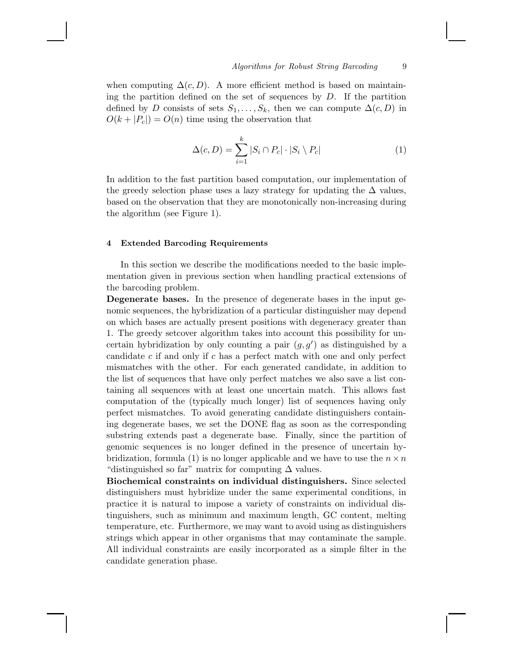when computing  $\Delta(c, D)$ . A more efficient method is based on maintaining the partition defined on the set of sequences by  $D$ . If the partition defined by D consists of sets  $S_1, \ldots, S_k$ , then we can compute  $\Delta(c, D)$  in  $O(k + |P_c|) = O(n)$  time using the observation that

$$
\Delta(c, D) = \sum_{i=1}^{k} |S_i \cap P_c| \cdot |S_i \setminus P_c|
$$
\n(1)

In addition to the fast partition based computation, our implementation of the greedy selection phase uses a lazy strategy for updating the  $\Delta$  values, based on the observation that they are monotonically non-increasing during the algorithm (see Figure 1).

## 4 Extended Barcoding Requirements

In this section we describe the modifications needed to the basic implementation given in previous section when handling practical extensions of the barcoding problem.

Degenerate bases. In the presence of degenerate bases in the input genomic sequences, the hybridization of a particular distinguisher may depend on which bases are actually present positions with degeneracy greater than 1. The greedy setcover algorithm takes into account this possibility for uncertain hybridization by only counting a pair  $(g, g')$  as distinguished by a candidate c if and only if c has a perfect match with one and only perfect mismatches with the other. For each generated candidate, in addition to the list of sequences that have only perfect matches we also save a list containing all sequences with at least one uncertain match. This allows fast computation of the (typically much longer) list of sequences having only perfect mismatches. To avoid generating candidate distinguishers containing degenerate bases, we set the DONE flag as soon as the corresponding substring extends past a degenerate base. Finally, since the partition of genomic sequences is no longer defined in the presence of uncertain hybridization, formula (1) is no longer applicable and we have to use the  $n \times n$ "distinguished so far" matrix for computing  $\Delta$  values.

Biochemical constraints on individual distinguishers. Since selected distinguishers must hybridize under the same experimental conditions, in practice it is natural to impose a variety of constraints on individual distinguishers, such as minimum and maximum length, GC content, melting temperature, etc. Furthermore, we may want to avoid using as distinguishers strings which appear in other organisms that may contaminate the sample. All individual constraints are easily incorporated as a simple filter in the candidate generation phase.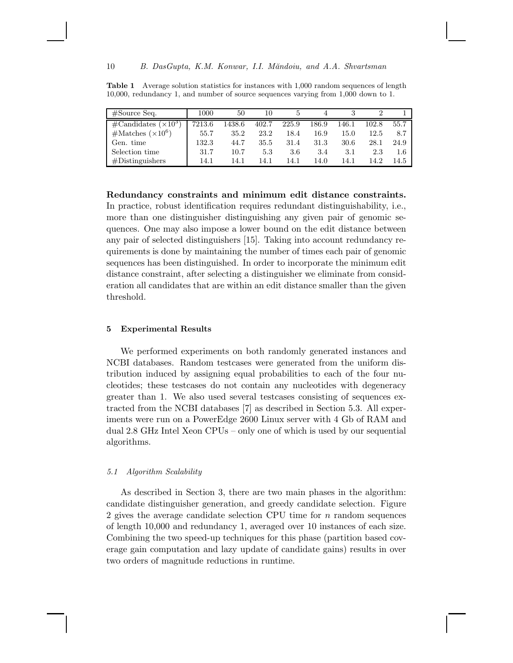Table 1 Average solution statistics for instances with 1,000 random sequences of length 10,000, redundancy 1, and number of source sequences varying from 1,000 down to 1.

| #SourceSeq.                         | 1000   | 50     | 10    |       |       |       |       |      |
|-------------------------------------|--------|--------|-------|-------|-------|-------|-------|------|
| $\#\text{Candidates }(\times 10^3)$ | 7213.6 | 1438.6 | 402.7 | 225.9 | 186.9 | 146.1 | 102.8 | 55.7 |
| $\#\text{Matches } (\times 10^6)$   | 55.7   | 35.2   | 23.2  | 18.4  | 16.9  | 15.0  | 12.5  | 8.7  |
| Gen. time                           | 132.3  | 44.7   | 35.5  | 31.4  | 31.3  | 30.6  | 28.1  | 24.9 |
| Selection time                      | 31.7   | 10.7   | 5.3   | 3.6   | 3.4   | 3.1   | 2.3   | 1.6  |
| #Distinguishers                     | 14.1   | 14.1   | 14.1  | 14.1  | 14.0  | 14.1  | 14.2  | 14.5 |

Redundancy constraints and minimum edit distance constraints. In practice, robust identification requires redundant distinguishability, i.e., more than one distinguisher distinguishing any given pair of genomic sequences. One may also impose a lower bound on the edit distance between any pair of selected distinguishers [15]. Taking into account redundancy requirements is done by maintaining the number of times each pair of genomic sequences has been distinguished. In order to incorporate the minimum edit distance constraint, after selecting a distinguisher we eliminate from consideration all candidates that are within an edit distance smaller than the given threshold.

#### 5 Experimental Results

We performed experiments on both randomly generated instances and NCBI databases. Random testcases were generated from the uniform distribution induced by assigning equal probabilities to each of the four nucleotides; these testcases do not contain any nucleotides with degeneracy greater than 1. We also used several testcases consisting of sequences extracted from the NCBI databases [7] as described in Section 5.3. All experiments were run on a PowerEdge 2600 Linux server with 4 Gb of RAM and dual 2.8 GHz Intel Xeon CPUs – only one of which is used by our sequential algorithms.

#### 5.1 Algorithm Scalability

As described in Section 3, there are two main phases in the algorithm: candidate distinguisher generation, and greedy candidate selection. Figure 2 gives the average candidate selection CPU time for  $n$  random sequences of length 10,000 and redundancy 1, averaged over 10 instances of each size. Combining the two speed-up techniques for this phase (partition based coverage gain computation and lazy update of candidate gains) results in over two orders of magnitude reductions in runtime.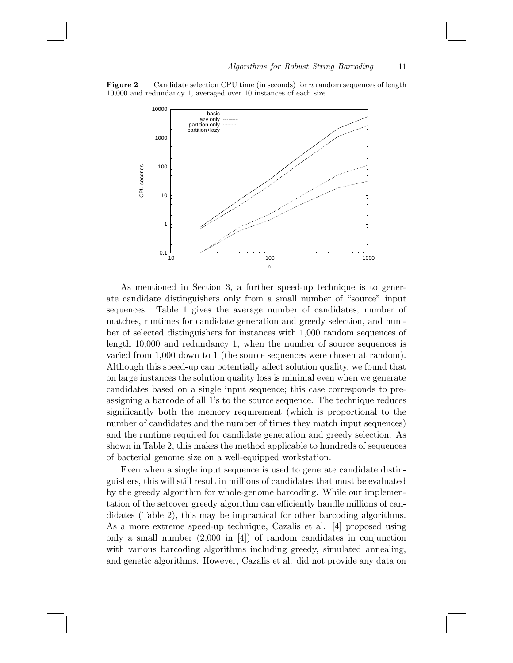

**Figure 2** Candidate selection CPU time (in seconds) for  $n$  random sequences of length 10,000 and redundancy 1, averaged over 10 instances of each size.

As mentioned in Section 3, a further speed-up technique is to generate candidate distinguishers only from a small number of "source" input sequences. Table 1 gives the average number of candidates, number of matches, runtimes for candidate generation and greedy selection, and number of selected distinguishers for instances with 1,000 random sequences of length 10,000 and redundancy 1, when the number of source sequences is varied from 1,000 down to 1 (the source sequences were chosen at random). Although this speed-up can potentially affect solution quality, we found that on large instances the solution quality loss is minimal even when we generate candidates based on a single input sequence; this case corresponds to preassigning a barcode of all 1's to the source sequence. The technique reduces significantly both the memory requirement (which is proportional to the number of candidates and the number of times they match input sequences) and the runtime required for candidate generation and greedy selection. As shown in Table 2, this makes the method applicable to hundreds of sequences of bacterial genome size on a well-equipped workstation.

Even when a single input sequence is used to generate candidate distinguishers, this will still result in millions of candidates that must be evaluated by the greedy algorithm for whole-genome barcoding. While our implementation of the setcover greedy algorithm can efficiently handle millions of candidates (Table 2), this may be impractical for other barcoding algorithms. As a more extreme speed-up technique, Cazalis et al. [4] proposed using only a small number (2,000 in [4]) of random candidates in conjunction with various barcoding algorithms including greedy, simulated annealing, and genetic algorithms. However, Cazalis et al. did not provide any data on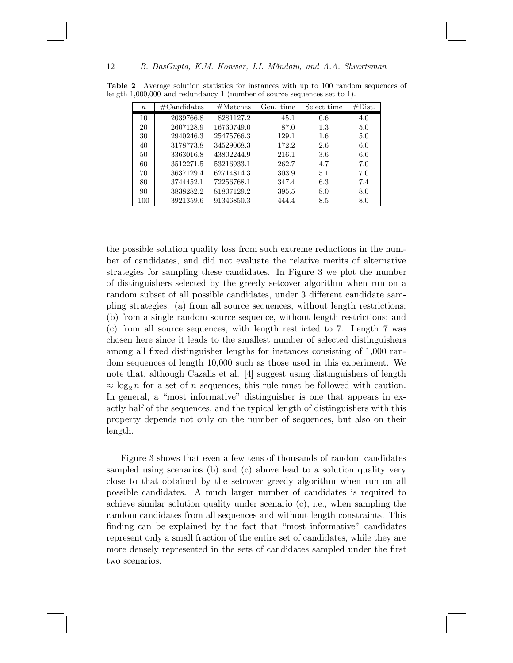| $\, n$ | $\#\text{Candidates}$ | $# \mathbf{Matches}$ | Gen. time | Select time | #Dist. |
|--------|-----------------------|----------------------|-----------|-------------|--------|
| 10     | 2039766.8             | 8281127.2            | 45.1      | 0.6         | 4.0    |
| 20     | 2607128.9             | 16730749.0           | 87.0      | 1.3         | 5.0    |
| 30     | 2940246.3             | 25475766.3           | 129.1     | 1.6         | 5.0    |
| 40     | 3178773.8             | 34529068.3           | 172.2     | 2.6         | 6.0    |
| 50     | 3363016.8             | 43802244.9           | 216.1     | 3.6         | 6.6    |
| 60     | 3512271.5             | 53216933.1           | 262.7     | 4.7         | 7.0    |
| 70     | 3637129.4             | 62714814.3           | 303.9     | 5.1         | 7.0    |
| 80     | 3744452.1             | 72256768.1           | 347.4     | 6.3         | 7.4    |
| 90     | 3838282.2             | 81807129.2           | 395.5     | 8.0         | 8.0    |
| 100    | 3921359.6             | 91346850.3           | 444.4     | 8.5         | 8.0    |

Table 2 Average solution statistics for instances with up to 100 random sequences of length 1,000,000 and redundancy 1 (number of source sequences set to 1).

the possible solution quality loss from such extreme reductions in the number of candidates, and did not evaluate the relative merits of alternative strategies for sampling these candidates. In Figure 3 we plot the number of distinguishers selected by the greedy setcover algorithm when run on a random subset of all possible candidates, under 3 different candidate sampling strategies: (a) from all source sequences, without length restrictions; (b) from a single random source sequence, without length restrictions; and (c) from all source sequences, with length restricted to 7. Length 7 was chosen here since it leads to the smallest number of selected distinguishers among all fixed distinguisher lengths for instances consisting of 1,000 random sequences of length 10,000 such as those used in this experiment. We note that, although Cazalis et al. [4] suggest using distinguishers of length  $\approx \log_2 n$  for a set of n sequences, this rule must be followed with caution. In general, a "most informative" distinguisher is one that appears in exactly half of the sequences, and the typical length of distinguishers with this property depends not only on the number of sequences, but also on their length.

Figure 3 shows that even a few tens of thousands of random candidates sampled using scenarios (b) and (c) above lead to a solution quality very close to that obtained by the setcover greedy algorithm when run on all possible candidates. A much larger number of candidates is required to achieve similar solution quality under scenario  $(c)$ , i.e., when sampling the random candidates from all sequences and without length constraints. This finding can be explained by the fact that "most informative" candidates represent only a small fraction of the entire set of candidates, while they are more densely represented in the sets of candidates sampled under the first two scenarios.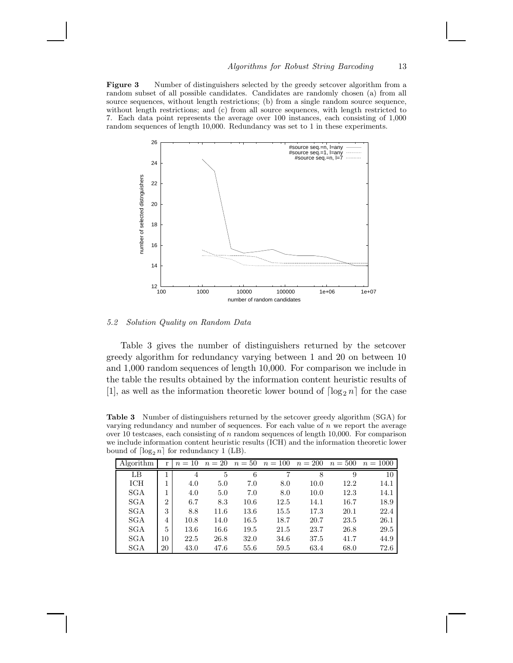Figure 3 Number of distinguishers selected by the greedy setcover algorithm from a random subset of all possible candidates. Candidates are randomly chosen (a) from all source sequences, without length restrictions; (b) from a single random source sequence, without length restrictions; and (c) from all source sequences, with length restricted to 7. Each data point represents the average over 100 instances, each consisting of 1,000 random sequences of length 10,000. Redundancy was set to 1 in these experiments.



5.2 Solution Quality on Random Data

Table 3 gives the number of distinguishers returned by the setcover greedy algorithm for redundancy varying between 1 and 20 on between 10 and 1,000 random sequences of length 10,000. For comparison we include in the table the results obtained by the information content heuristic results of [1], as well as the information theoretic lower bound of  $\lceil \log_2 n \rceil$  for the case

Table 3 Number of distinguishers returned by the setcover greedy algorithm (SGA) for varying redundancy and number of sequences. For each value of  $n$  we report the average over 10 testcases, each consisting of  $n$  random sequences of length 10,000. For comparison we include information content heuristic results (ICH) and the information theoretic lower bound of  $\lceil \log_2 n \rceil$  for redundancy 1 (LB).

| Algorithm  |                | $n=10$ | $n=20$ | $n=50$   | $n=100$ | $n = 200$ | $n=500$ | $n = 1000$ |
|------------|----------------|--------|--------|----------|---------|-----------|---------|------------|
| LΒ         |                | 4      | 5      | 6        |         | 8         | 9       | 10         |
| ICH        |                | 4.0    | 5.0    | 7.0      | 8.0     | 10.0      | 12.2    | 14.1       |
| SGA        |                | 4.0    | 5.0    | 7.0      | 8.0     | 10.0      | 12.3    | 14.1       |
| SGA        | $\overline{2}$ | 6.7    | 8.3    | $10.6\,$ | 12.5    | 14.1      | 16.7    | 18.9       |
| SGA        | 3              | 8.8    | 11.6   | 13.6     | 15.5    | 17.3      | 20.1    | 22.4       |
| SGA        | 4              | 10.8   | 14.0   | 16.5     | 18.7    | 20.7      | 23.5    | 26.1       |
| <b>SGA</b> | 5              | 13.6   | 16.6   | 19.5     | 21.5    | 23.7      | 26.8    | 29.5       |
| SGA        | 10             | 22.5   | 26.8   | 32.0     | 34.6    | 37.5      | 41.7    | 44.9       |
| SGA        | 20             | 43.0   | 47.6   | 55.6     | 59.5    | 63.4      | 68.0    | 72.6       |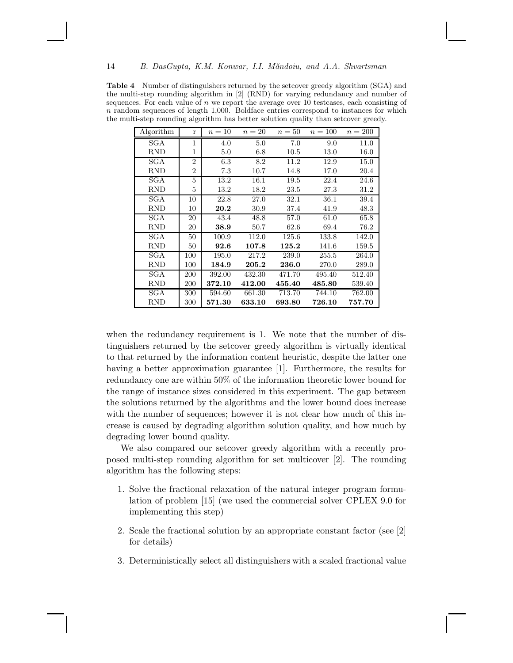Table 4 Number of distinguishers returned by the setcover greedy algorithm (SGA) and the multi-step rounding algorithm in [2] (RND) for varying redundancy and number of sequences. For each value of  $n$  we report the average over 10 testcases, each consisting of n random sequences of length 1,000. Boldface entries correspond to instances for which the multi-step rounding algorithm has better solution quality than setcover greedy.

| Algorithm  | r              | $n=10$ | $n=20$  | $n=50$ | $n = 100$ | $n=200$ |
|------------|----------------|--------|---------|--------|-----------|---------|
| SGA        | 1              | 4.0    | 5.0     | 7.0    | 9.0       | 11.0    |
| <b>RND</b> | 1              | 5.0    | $6.8\,$ | 10.5   | 13.0      | 16.0    |
| SGA        | $\overline{2}$ | 6.3    | 8.2     | 11.2   | 12.9      | 15.0    |
| RND        | 2              | 7.3    | 10.7    | 14.8   | 17.0      | 20.4    |
| SGA        | 5              | 13.2   | 16.1    | 19.5   | 22.4      | 24.6    |
| <b>RND</b> | 5              | 13.2   | 18.2    | 23.5   | 27.3      | 31.2    |
| SGA        | 10             | 22.8   | 27.0    | 32.1   | 36.1      | 39.4    |
| RND        | 10             | 20.2   | 30.9    | 37.4   | 41.9      | 48.3    |
| SGA        | 20             | 43.4   | 48.8    | 57.0   | 61.0      | 65.8    |
| <b>RND</b> | 20             | 38.9   | 50.7    | 62.6   | 69.4      | 76.2    |
| SGA        | 50             | 100.9  | 112.0   | 125.6  | 133.8     | 142.0   |
| <b>RND</b> | 50             | 92.6   | 107.8   | 125.2  | 141.6     | 159.5   |
| SGA        | 100            | 195.0  | 217.2   | 239.0  | 255.5     | 264.0   |
| <b>RND</b> | 100            | 184.9  | 205.2   | 236.0  | 270.0     | 289.0   |
| SGA        | 200            | 392.00 | 432.30  | 471.70 | 495.40    | 512.40  |
| <b>RND</b> | 200            | 372.10 | 412.00  | 455.40 | 485.80    | 539.40  |
| SGA        | 300            | 594.60 | 661.30  | 713.70 | 744.10    | 762.00  |
| <b>RND</b> | 300            | 571.30 | 633.10  | 693.80 | 726.10    | 757.70  |

when the redundancy requirement is 1. We note that the number of distinguishers returned by the setcover greedy algorithm is virtually identical to that returned by the information content heuristic, despite the latter one having a better approximation guarantee [1]. Furthermore, the results for redundancy one are within 50% of the information theoretic lower bound for the range of instance sizes considered in this experiment. The gap between the solutions returned by the algorithms and the lower bound does increase with the number of sequences; however it is not clear how much of this increase is caused by degrading algorithm solution quality, and how much by degrading lower bound quality.

We also compared our setcover greedy algorithm with a recently proposed multi-step rounding algorithm for set multicover [2]. The rounding algorithm has the following steps:

- 1. Solve the fractional relaxation of the natural integer program formulation of problem [15] (we used the commercial solver CPLEX 9.0 for implementing this step)
- 2. Scale the fractional solution by an appropriate constant factor (see [2] for details)
- 3. Deterministically select all distinguishers with a scaled fractional value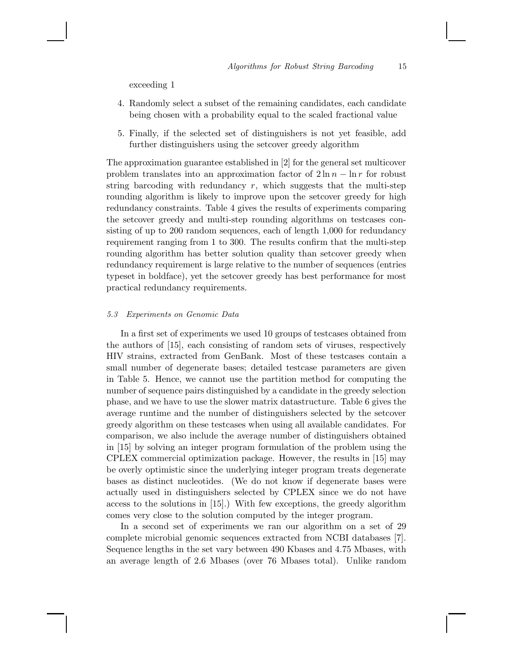exceeding 1

- 4. Randomly select a subset of the remaining candidates, each candidate being chosen with a probability equal to the scaled fractional value
- 5. Finally, if the selected set of distinguishers is not yet feasible, add further distinguishers using the setcover greedy algorithm

The approximation guarantee established in [2] for the general set multicover problem translates into an approximation factor of  $2 \ln n - \ln r$  for robust string barcoding with redundancy  $r$ , which suggests that the multi-step rounding algorithm is likely to improve upon the setcover greedy for high redundancy constraints. Table 4 gives the results of experiments comparing the setcover greedy and multi-step rounding algorithms on testcases consisting of up to 200 random sequences, each of length 1,000 for redundancy requirement ranging from 1 to 300. The results confirm that the multi-step rounding algorithm has better solution quality than setcover greedy when redundancy requirement is large relative to the number of sequences (entries typeset in boldface), yet the setcover greedy has best performance for most practical redundancy requirements.

#### 5.3 Experiments on Genomic Data

In a first set of experiments we used 10 groups of testcases obtained from the authors of [15], each consisting of random sets of viruses, respectively HIV strains, extracted from GenBank. Most of these testcases contain a small number of degenerate bases; detailed testcase parameters are given in Table 5. Hence, we cannot use the partition method for computing the number of sequence pairs distinguished by a candidate in the greedy selection phase, and we have to use the slower matrix datastructure. Table 6 gives the average runtime and the number of distinguishers selected by the setcover greedy algorithm on these testcases when using all available candidates. For comparison, we also include the average number of distinguishers obtained in [15] by solving an integer program formulation of the problem using the CPLEX commercial optimization package. However, the results in [15] may be overly optimistic since the underlying integer program treats degenerate bases as distinct nucleotides. (We do not know if degenerate bases were actually used in distinguishers selected by CPLEX since we do not have access to the solutions in [15].) With few exceptions, the greedy algorithm comes very close to the solution computed by the integer program.

In a second set of experiments we ran our algorithm on a set of 29 complete microbial genomic sequences extracted from NCBI databases [7]. Sequence lengths in the set vary between 490 Kbases and 4.75 Mbases, with an average length of 2.6 Mbases (over 76 Mbases total). Unlike random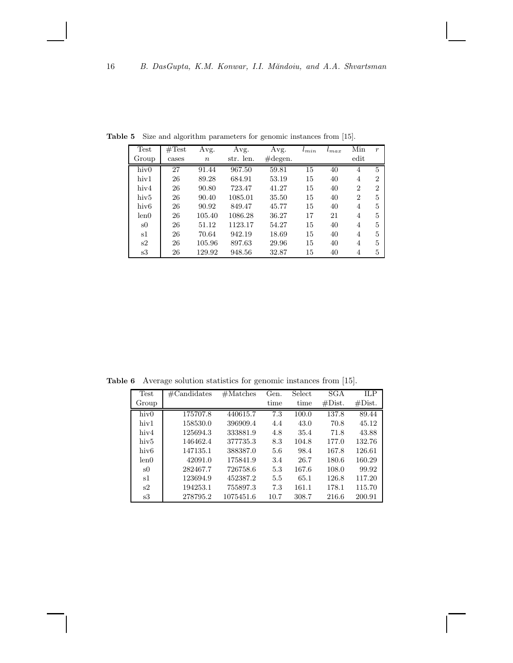| Test             | $\#\text{Test}$ | Avg.             | Avg.      | Avg.              | $l_{min}$ | $_{lmax}$ | Min            | $\boldsymbol{r}$ |
|------------------|-----------------|------------------|-----------|-------------------|-----------|-----------|----------------|------------------|
| Group            | cases           | $\boldsymbol{n}$ | str. len. | $\#\text{degen}.$ |           |           | $_{\rm edit}$  |                  |
| hiv <sub>0</sub> | 27              | 91.44            | 967.50    | 59.81             | 15        | 40        | $\overline{4}$ | 5                |
| hiv1             | 26              | 89.28            | 684.91    | 53.19             | 15        | 40        | 4              | $\overline{2}$   |
| hiv4             | 26              | 90.80            | 723.47    | 41.27             | 15        | 40        | $\overline{2}$ | 2                |
| hiv5             | 26              | 90.40            | 1085.01   | 35.50             | 15        | 40        | $\overline{2}$ | 5                |
| hiv <sub>6</sub> | 26              | 90.92            | 849.47    | 45.77             | 15        | 40        | 4              | 5                |
| len0             | 26              | 105.40           | 1086.28   | 36.27             | 17        | 21        | 4              | 5                |
| $\mathrm{s}0$    | 26              | 51.12            | 1123.17   | 54.27             | 15        | 40        | 4              | 5                |
| s1               | 26              | 70.64            | 942.19    | 18.69             | 15        | 40        | 4              | 5                |
| s2               | 26              | 105.96           | 897.63    | 29.96             | 15        | 40        | 4              | 5                |
| s3               | 26              | 129.92           | 948.56    | 32.87             | 15        | 40        | 4              | 5                |

Table 5 Size and algorithm parameters for genomic instances from [15].

Table 6 Average solution statistics for genomic instances from [15].

| Test             | $\#$ Candidates | $# \mathbf{Matches}$ | Gen. | Select | SGA    | ШP     |
|------------------|-----------------|----------------------|------|--------|--------|--------|
| Group            |                 |                      | time | time   | #Dist. | #Dist. |
| hiv <sub>0</sub> | 175707.8        | 440615.7             | 7.3  | 100.0  | 137.8  | 89.44  |
| hiv1             | 158530.0        | 396909.4             | 4.4  | 43.0   | 70.8   | 45.12  |
| hiv4             | 125694.3        | 333881.9             | 4.8  | 35.4   | 71.8   | 43.88  |
| hiv <sub>5</sub> | 146462.4        | 377735.3             | 8.3  | 104.8  | 177.0  | 132.76 |
| hiv <sub>6</sub> | 147135.1        | 388387.0             | 5.6  | 98.4   | 167.8  | 126.61 |
| len()            | 42091.0         | 175841.9             | 3.4  | 26.7   | 180.6  | 160.29 |
| s0               | 282467.7        | 726758.6             | 5.3  | 167.6  | 108.0  | 99.92  |
| s1               | 123694.9        | 452387.2             | 5.5  | 65.1   | 126.8  | 117.20 |
| s2               | 194253.1        | 755897.3             | 7.3  | 161.1  | 178.1  | 115.70 |
| s3               | 278795.2        | 1075451.6            | 10.7 | 308.7  | 216.6  | 200.91 |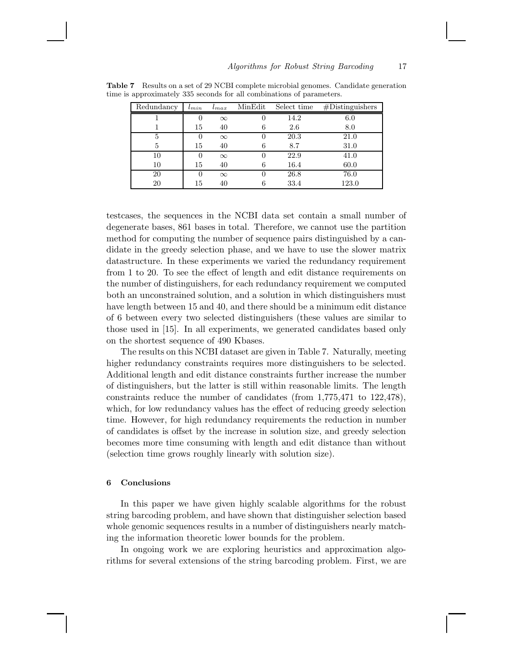| Redundancy | $l_{min}$ | $_{tmax}$ | MinEdit | Select time | #Distinguishers |
|------------|-----------|-----------|---------|-------------|-----------------|
|            |           | $\infty$  |         | 14.2        | 6.0             |
|            | 15        | 40        |         | 2.6         | 8.0             |
| 5          |           | $\infty$  |         | 20.3        | 21.0            |
| 5          | 15        | 40        |         | 8.7         | 31.0            |
| 10         |           | $\infty$  |         | 22.9        | 41.0            |
| 10         | 15        | 40        |         | 16.4        | 60.0            |
| 20         |           | $\infty$  |         | 26.8        | 76.0            |
| 20         | 15        | 40        |         | 33.4        | 123.0           |

Table 7 Results on a set of 29 NCBI complete microbial genomes. Candidate generation time is approximately 335 seconds for all combinations of parameters.

testcases, the sequences in the NCBI data set contain a small number of degenerate bases, 861 bases in total. Therefore, we cannot use the partition method for computing the number of sequence pairs distinguished by a candidate in the greedy selection phase, and we have to use the slower matrix datastructure. In these experiments we varied the redundancy requirement from 1 to 20. To see the effect of length and edit distance requirements on the number of distinguishers, for each redundancy requirement we computed both an unconstrained solution, and a solution in which distinguishers must have length between 15 and 40, and there should be a minimum edit distance of 6 between every two selected distinguishers (these values are similar to those used in [15]. In all experiments, we generated candidates based only on the shortest sequence of 490 Kbases.

The results on this NCBI dataset are given in Table 7. Naturally, meeting higher redundancy constraints requires more distinguishers to be selected. Additional length and edit distance constraints further increase the number of distinguishers, but the latter is still within reasonable limits. The length constraints reduce the number of candidates (from 1,775,471 to 122,478), which, for low redundancy values has the effect of reducing greedy selection time. However, for high redundancy requirements the reduction in number of candidates is offset by the increase in solution size, and greedy selection becomes more time consuming with length and edit distance than without (selection time grows roughly linearly with solution size).

## 6 Conclusions

In this paper we have given highly scalable algorithms for the robust string barcoding problem, and have shown that distinguisher selection based whole genomic sequences results in a number of distinguishers nearly matching the information theoretic lower bounds for the problem.

In ongoing work we are exploring heuristics and approximation algorithms for several extensions of the string barcoding problem. First, we are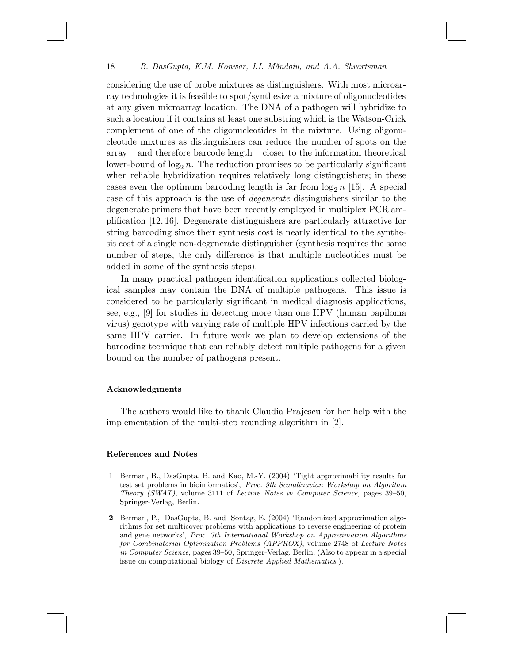## 18 B. DasGupta, K.M. Konwar, I.I. Măndoiu, and A.A. Shvartsman

considering the use of probe mixtures as distinguishers. With most microarray technologies it is feasible to spot/synthesize a mixture of oligonucleotides at any given microarray location. The DNA of a pathogen will hybridize to such a location if it contains at least one substring which is the Watson-Crick complement of one of the oligonucleotides in the mixture. Using oligonucleotide mixtures as distinguishers can reduce the number of spots on the array – and therefore barcode length – closer to the information theoretical lower-bound of  $\log_2 n$ . The reduction promises to be particularly significant when reliable hybridization requires relatively long distinguishers; in these cases even the optimum barcoding length is far from  $\log_2 n$  [15]. A special case of this approach is the use of degenerate distinguishers similar to the degenerate primers that have been recently employed in multiplex PCR amplification [12, 16]. Degenerate distinguishers are particularly attractive for string barcoding since their synthesis cost is nearly identical to the synthesis cost of a single non-degenerate distinguisher (synthesis requires the same number of steps, the only difference is that multiple nucleotides must be added in some of the synthesis steps).

In many practical pathogen identification applications collected biological samples may contain the DNA of multiple pathogens. This issue is considered to be particularly significant in medical diagnosis applications, see, e.g., [9] for studies in detecting more than one HPV (human papiloma virus) genotype with varying rate of multiple HPV infections carried by the same HPV carrier. In future work we plan to develop extensions of the barcoding technique that can reliably detect multiple pathogens for a given bound on the number of pathogens present.

## Acknowledgments

The authors would like to thank Claudia Prajescu for her help with the implementation of the multi-step rounding algorithm in [2].

#### References and Notes

- 1 Berman, B., DasGupta, B. and Kao, M.-Y. (2004) 'Tight approximability results for test set problems in bioinformatics', Proc. 9th Scandinavian Workshop on Algorithm Theory (SWAT), volume 3111 of Lecture Notes in Computer Science, pages 39–50, Springer-Verlag, Berlin.
- 2 Berman, P., DasGupta, B. and Sontag, E. (2004) 'Randomized approximation algorithms for set multicover problems with applications to reverse engineering of protein and gene networks', Proc. 7th International Workshop on Approximation Algorithms for Combinatorial Optimization Problems (APPROX), volume 2748 of Lecture Notes in Computer Science, pages 39–50, Springer-Verlag, Berlin. (Also to appear in a special issue on computational biology of Discrete Applied Mathematics.).